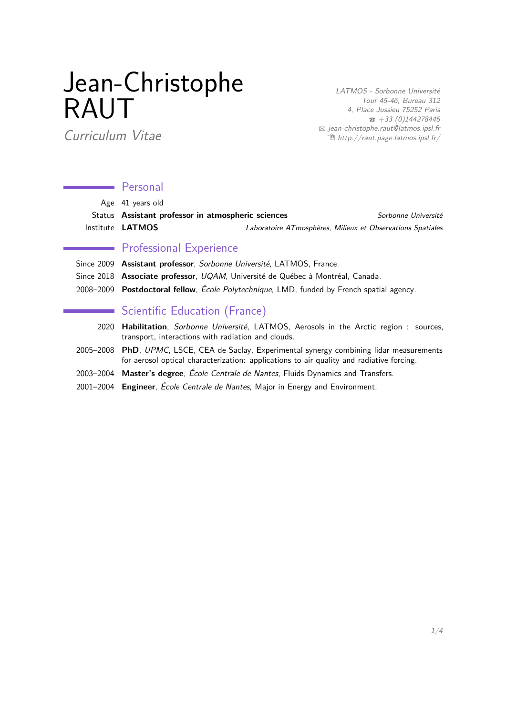# Jean-Christophe RAUT

LATMOS - Sorbonne Université Tour 45-46, Bureau 312 4, Place Jussieu 75252 Paris  $\bar{3}$  +33 (0)144278445  $\boxtimes$  [jean-christophe.raut@latmos.ipsl.fr](mailto:jean-christophe.raut@latmos.ipsl.fr)  $\hat{p}$  [http://raut.page.latmos.ipsl.fr/](http://http://raut.page.latmos.ipsl.fr/)

Curriculum Vitae

## **Personal**

Age 41 years old

Status **Assistant professor in atmospheric sciences** Sorbonne Université Institute **LATMOS** Laboratoire ATmosphères, Milieux et Observations Spatiales

## **Professional Experience**

- Since 2009 **Assistant professor**, Sorbonne Université, LATMOS, France.
- Since 2018 **Associate professor**, UQAM, Université de Québec à Montréal, Canada.
- 2008–2009 **Postdoctoral fellow**, École Polytechnique, LMD, funded by French spatial agency.

# Scientific Education (France)

- 2020 **Habilitation**, Sorbonne Université, LATMOS, Aerosols in the Arctic region : sources, transport, interactions with radiation and clouds.
- 2005–2008 **PhD**, UPMC, LSCE, CEA de Saclay, Experimental synergy combining lidar measurements for aerosol optical characterization: applications to air quality and radiative forcing.
- 2003–2004 **Master's degree**, École Centrale de Nantes, Fluids Dynamics and Transfers.
- 2001–2004 **Engineer**, École Centrale de Nantes, Major in Energy and Environment.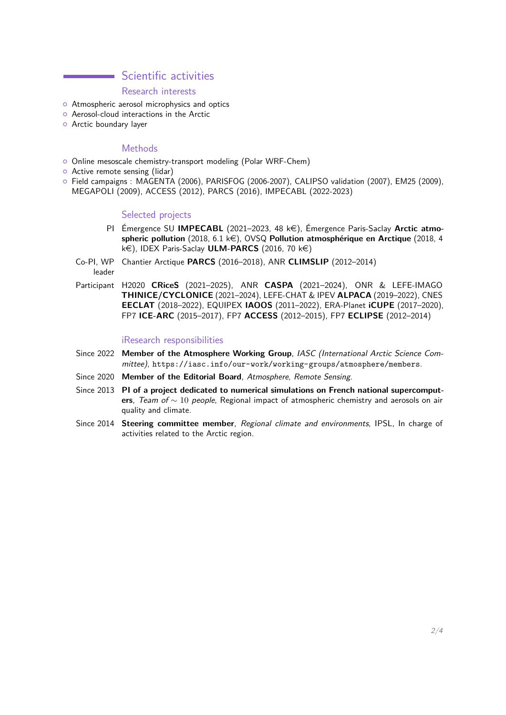## Scientific activities

#### Research interests

- <sup>o</sup> Atmospheric aerosol microphysics and optics
- **o** Aerosol-cloud interactions in the Arctic
- o Arctic boundary layer

## **Methods**

- { Online mesoscale chemistry-transport modeling (Polar WRF-Chem)
- **o** Active remote sensing (lidar)
- { Field campaigns : MAGENTA (2006), PARISFOG (2006-2007), CALIPSO validation (2007), EM25 (2009), MEGAPOLI (2009), ACCESS (2012), PARCS (2016), IMPECABL (2022-2023)

## Selected projects

- PI Émergence SU **IMPECABL** (2021–2023, 48 ke), Émergence Paris-Saclay **Arctic atmo**spheric pollution (2018, 6.1 k€), OVSQ **Pollution atmosphérique en Arctique** (2018, 4 k€), IDEX Paris-Saclay **ULM-PARCS** (2016, 70 k€)
- Co-PI, WP Chantier Arctique **PARCS** (2016–2018), ANR **CLIMSLIP** (2012–2014) leader
- Participant H2020 **CRiceS** (2021–2025), ANR **CASPA** (2021–2024), ONR & LEFE-IMAGO **THINICE/CYCLONICE** (2021–2024), LEFE-CHAT & IPEV **ALPACA** (2019–2022), CNES **EECLAT** (2018–2022), EQUIPEX **IAOOS** (2011–2022), ERA-Planet **iCUPE** (2017–2020), FP7 **ICE-ARC** (2015–2017), FP7 **ACCESS** (2012–2015), FP7 **ECLIPSE** (2012–2014)

## iResearch responsibilities

- Since 2022 **Member of the Atmosphere Working Group**, IASC (International Arctic Science Committee), <https://iasc.info/our-work/working-groups/atmosphere/members>.
- Since 2020 **Member of the Editorial Board**, Atmosphere, Remote Sensing.
- Since 2013 **PI of a project dedicated to numerical simulations on French national supercomputers**, Team of ∼ 10 people, Regional impact of atmospheric chemistry and aerosols on air quality and climate.
- Since 2014 **Steering committee member**, Regional climate and environments, IPSL, In charge of activities related to the Arctic region.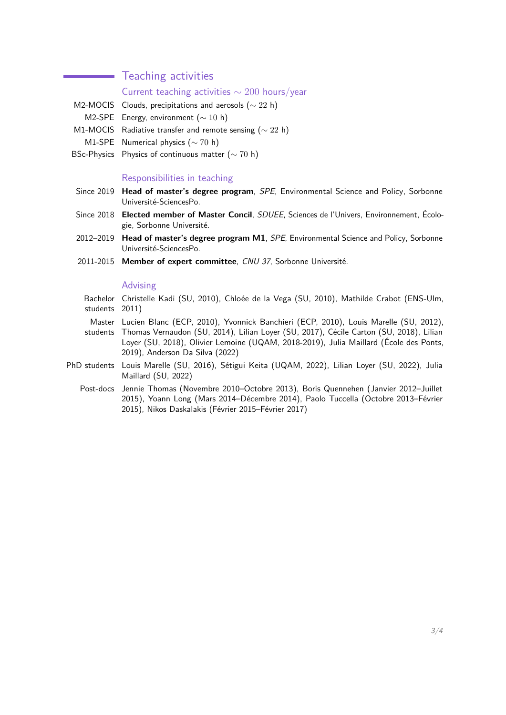## Teaching activities

## Current teaching activities ∼ 200 hours/year

- M2-MOCIS Clouds, precipitations and aerosols (~ 22 h)
- M2-SPE Energy, environment (∼ 10 h)

 $\mathcal{L}_{\mathcal{A}}$ 

- M1-MOCIS Radiative transfer and remote sensing  $({\sim} 22 \text{ h})$
- M1-SPE Numerical physics (∼ 70 h)
- BSc-Physics Physics of continuous matter (∼ 70 h)

#### Responsibilities in teaching

- Since 2019 **Head of master's degree program**, SPE, Environmental Science and Policy, Sorbonne Université-SciencesPo.
- Since 2018 **Elected member of Master Concil**, SDUEE, Sciences de l'Univers, Environnement, Écologie, Sorbonne Université.
- 2012–2019 **Head of master's degree program M1**, SPE, Environmental Science and Policy, Sorbonne Université-SciencesPo.
- 2011-2015 **Member of expert committee**, CNU 37, Sorbonne Université.

#### Advising

Bachelor Christelle Kadi (SU, 2010), Chloée de la Vega (SU, 2010), Mathilde Crabot (ENS-Ulm, students 2011)

- Master Lucien Blanc (ECP, 2010), Yvonnick Banchieri (ECP, 2010), Louis Marelle (SU, 2012),
- students Thomas Vernaudon (SU, 2014), Lilian Loyer (SU, 2017), Cécile Carton (SU, 2018), Lilian Loyer (SU, 2018), Olivier Lemoine (UQAM, 2018-2019), Julia Maillard (École des Ponts, 2019), Anderson Da Silva (2022)
- PhD students Louis Marelle (SU, 2016), Sétigui Keita (UQAM, 2022), Lilian Loyer (SU, 2022), Julia Maillard (SU, 2022)
	- Post-docs Jennie Thomas (Novembre 2010–Octobre 2013), Boris Quennehen (Janvier 2012–Juillet 2015), Yoann Long (Mars 2014–Décembre 2014), Paolo Tuccella (Octobre 2013–Février 2015), Nikos Daskalakis (Février 2015–Février 2017)